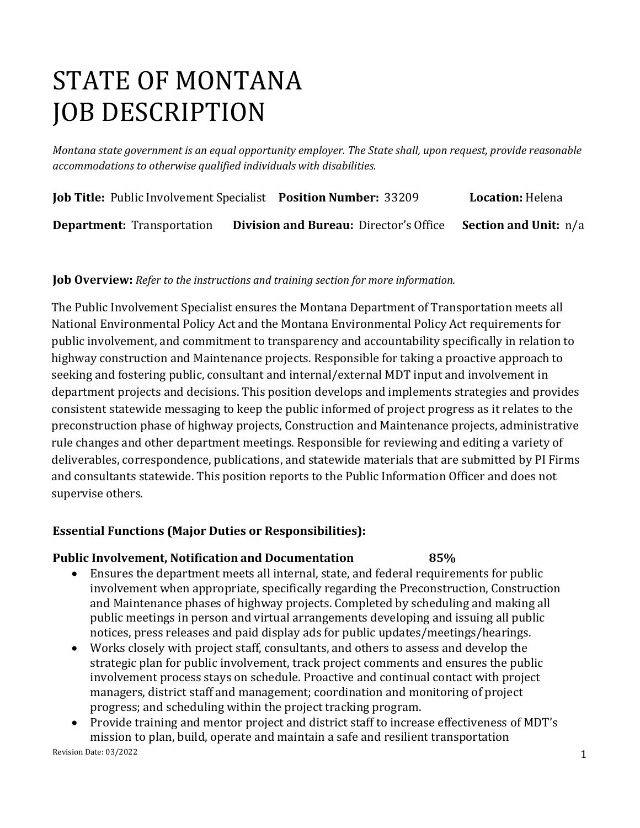# STATE OF MONTANA JOB DESCRIPTION

*Montana state government is an equal opportunity employer. The State shall, upon request, provide reasonable accommodations to otherwise qualified individuals with disabilities.*

|                                   | <b>Job Title: Public Involvement Specialist Position Number: 33209</b> | <b>Location: Helena</b> |
|-----------------------------------|------------------------------------------------------------------------|-------------------------|
| <b>Department:</b> Transportation | <b>Division and Bureau:</b> Director's Office Section and Unit: n/a    |                         |

#### **Job Overview:** *Refer to the instructions and training section for more information.*

The Public Involvement Specialist ensures the Montana Department of Transportation meets all National Environmental Policy Act and the Montana Environmental Policy Act requirements for public involvement, and commitment to transparency and accountability specifically in relation to highway construction and Maintenance projects. Responsible for taking a proactive approach to seeking and fostering public, consultant and internal/external MDT input and involvement in department projects and decisions. This position develops and implements strategies and provides consistent statewide messaging to keep the public informed of project progress as it relates to the preconstruction phase of highway projects, Construction and Maintenance projects, administrative rule changes and other department meetings. Responsible for reviewing and editing a variety of deliverables, correspondence, publications, and statewide materials that are submitted by PI Firms and consultants statewide. This position reports to the Public Information Officer and does not supervise others.

#### **Essential Functions (Major Duties or Responsibilities):**

#### **Public Involvement, Notification and Documentation 85%**

- Ensures the department meets all internal, state, and federal requirements for public involvement when appropriate, specifically regarding the Preconstruction, Construction and Maintenance phases of highway projects. Completed by scheduling and making all public meetings in person and virtual arrangements developing and issuing all public notices, press releases and paid display ads for public updates/meetings/hearings.
- Works closely with project staff, consultants, and others to assess and develop the strategic plan for public involvement, track project comments and ensures the public involvement process stays on schedule. Proactive and continual contact with project managers, district staff and management; coordination and monitoring of project progress; and scheduling within the project tracking program.
- Provide training and mentor project and district staff to increase effectiveness of MDT's mission to plan, build, operate and maintain a safe and resilient transportation

Revision Date: 03/2022 2002 2003 12:00:00 12:00:00 12:00:00 12:00:00 12:00:00 12:00:00 12:00:00 12:00:00 12:00:00 12:00:00 12:00:00 12:00:00 12:00:00 12:00:00 12:00:00 12:00:00 12:00:00 12:00:00 12:00:00 12:00:00 12:00:00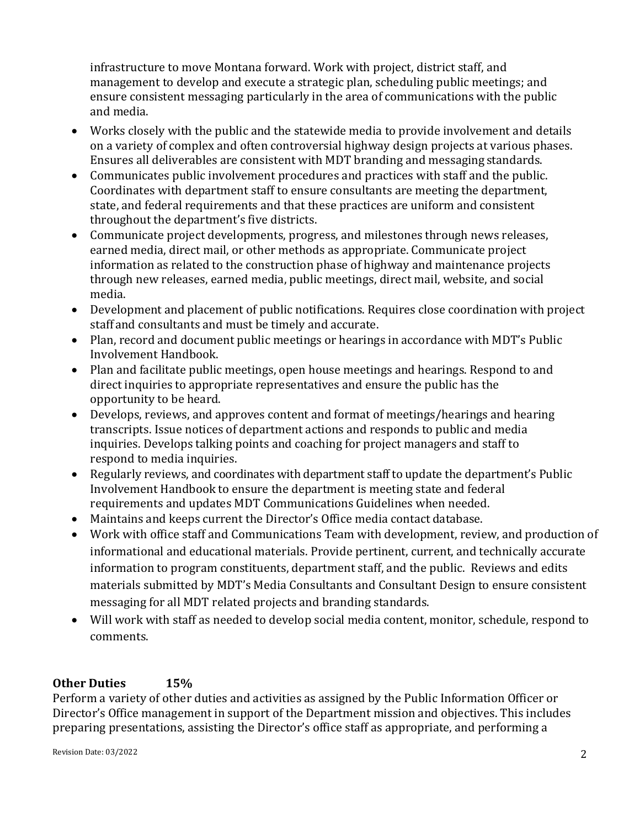infrastructure to move Montana forward. Work with project, district staff, and management to develop and execute a strategic plan, scheduling public meetings; and ensure consistent messaging particularly in the area of communications with the public and media.

- Works closely with the public and the statewide media to provide involvement and details on a variety of complex and often controversial highway design projects at various phases. Ensures all deliverables are consistent with MDT branding and messaging standards.
- Communicates public involvement procedures and practices with staff and the public. Coordinates with department staff to ensure consultants are meeting the department, state, and federal requirements and that these practices are uniform and consistent throughout the department's five districts.
- Communicate project developments, progress, and milestones through news releases, earned media, direct mail, or other methods as appropriate. Communicate project information as related to the construction phase of highway and maintenance projects through new releases, earned media, public meetings, direct mail, website, and social media.
- Development and placement of public notifications. Requires close coordination with project staff and consultants and must be timely and accurate.
- Plan, record and document public meetings or hearings in accordance with MDT's Public Involvement Handbook.
- Plan and facilitate public meetings, open house meetings and hearings. Respond to and direct inquiries to appropriate representatives and ensure the public has the opportunity to be heard.
- Develops, reviews, and approves content and format of meetings/hearings and hearing transcripts. Issue notices of department actions and responds to public and media inquiries. Develops talking points and coaching for project managers and staff to respond to media inquiries.
- Regularly reviews, and coordinates with department staff to update the department's Public Involvement Handbook to ensure the department is meeting state and federal requirements and updates MDT Communications Guidelines when needed.
- Maintains and keeps current the Director's Office media contact database.
- Work with office staff and Communications Team with development, review, and production of informational and educational materials. Provide pertinent, current, and technically accurate information to program constituents, department staff, and the public. Reviews and edits materials submitted by MDT's Media Consultants and Consultant Design to ensure consistent messaging for all MDT related projects and branding standards.
- Will work with staff as needed to develop social media content, monitor, schedule, respond to comments.

#### **Other Duties 15%**

Perform a variety of other duties and activities as assigned by the Public Information Officer or Director's Office management in support of the Department mission and objectives. This includes preparing presentations, assisting the Director's office staff as appropriate, and performing a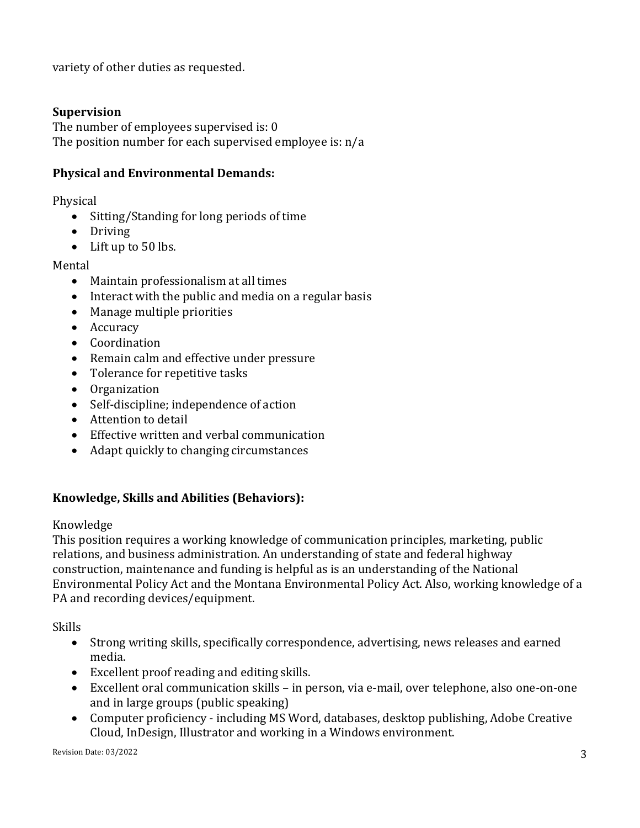variety of other duties as requested.

#### **Supervision**

The number of employees supervised is: 0 The position number for each supervised employee is: n/a

#### **Physical and Environmental Demands:**

Physical

- Sitting/Standing for long periods of time
- Driving
- Lift up to 50 lbs.

#### Mental

- Maintain professionalism at all times
- Interact with the public and media on a regular basis
- Manage multiple priorities
- Accuracy
- Coordination
- Remain calm and effective under pressure
- Tolerance for repetitive tasks
- Organization
- Self-discipline; independence of action
- Attention to detail
- Effective written and verbal communication
- Adapt quickly to changing circumstances

## **Knowledge, Skills and Abilities (Behaviors):**

#### Knowledge

This position requires a working knowledge of communication principles, marketing, public relations, and business administration. An understanding of state and federal highway construction, maintenance and funding is helpful as is an understanding of the National Environmental Policy Act and the Montana Environmental Policy Act. Also, working knowledge of a PA and recording devices/equipment.

Skills

- Strong writing skills, specifically correspondence, advertising, news releases and earned media.
- Excellent proof reading and editing skills.
- Excellent oral communication skills in person, via e-mail, over telephone, also one-on-one and in large groups (public speaking)
- Computer proficiency including MS Word, databases, desktop publishing, Adobe Creative Cloud, InDesign, Illustrator and working in a Windows environment.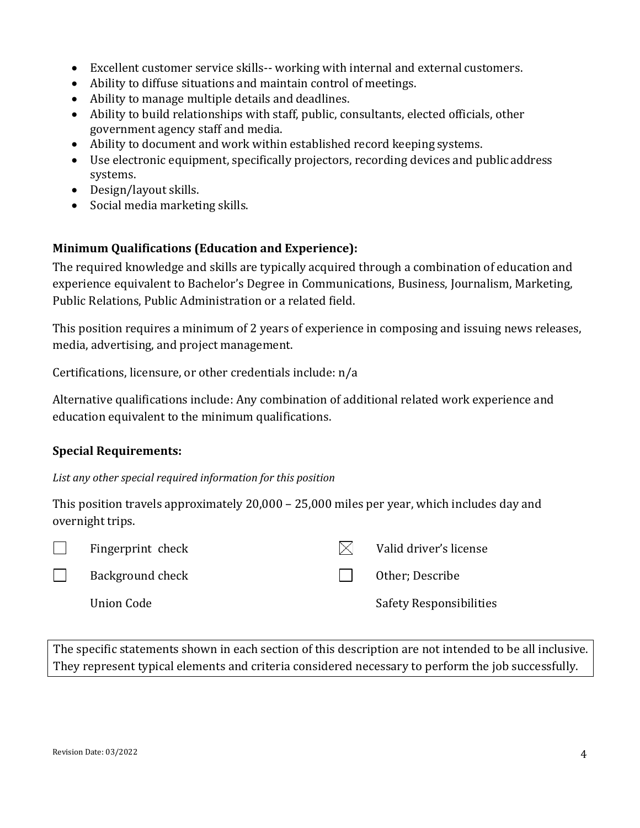- Excellent customer service skills-- working with internal and external customers.
- Ability to diffuse situations and maintain control of meetings.
- Ability to manage multiple details and deadlines.
- Ability to build relationships with staff, public, consultants, elected officials, other government agency staff and media.
- Ability to document and work within established record keeping systems.
- Use electronic equipment, specifically projectors, recording devices and public address systems.
- Design/layout skills.
- Social media marketing skills.

## **Minimum Qualifications (Education and Experience):**

The required knowledge and skills are typically acquired through a combination of education and experience equivalent to Bachelor's Degree in Communications, Business, Journalism, Marketing, Public Relations, Public Administration or a related field.

This position requires a minimum of 2 years of experience in composing and issuing news releases, media, advertising, and project management.

Certifications, licensure, or other credentials include: n/a

Alternative qualifications include: Any combination of additional related work experience and education equivalent to the minimum qualifications.

## **Special Requirements:**

*List any other special required information for this position*

This position travels approximately 20,000 – 25,000 miles per year, which includes day and overnight trips.



Fingerprint check  $\boxtimes$  Valid driver's license

 $\Box$ Background check

Union Code

Other; Describe

Safety Responsibilities

The specific statements shown in each section of this description are not intended to be all inclusive. They represent typical elements and criteria considered necessary to perform the job successfully.

 $\Box$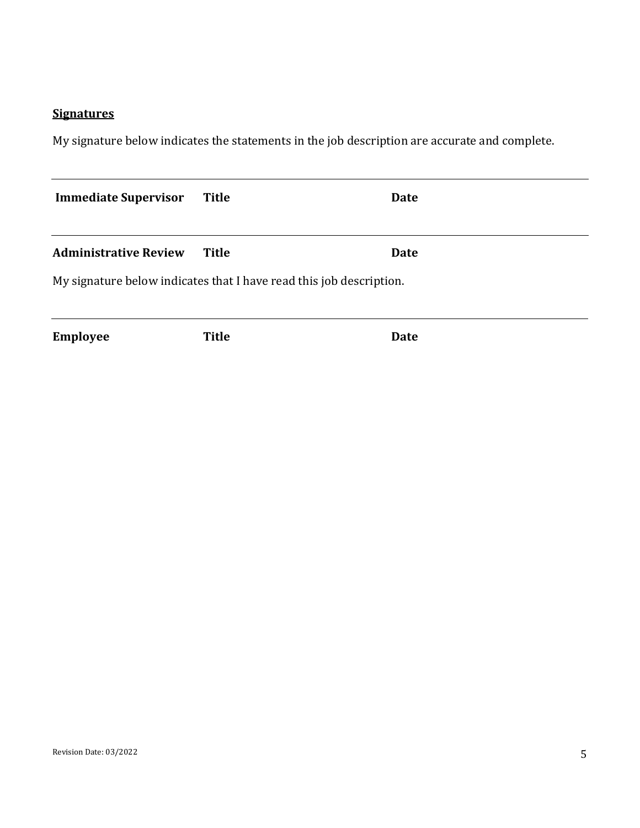## **Signatures**

My signature below indicates the statements in the job description are accurate and complete.

| <b>Immediate Supervisor</b>                                         | <b>Title</b> | Date |  |  |
|---------------------------------------------------------------------|--------------|------|--|--|
| <b>Administrative Review</b>                                        | <b>Title</b> | Date |  |  |
| My signature below indicates that I have read this job description. |              |      |  |  |
|                                                                     |              |      |  |  |
| <b>Employee</b>                                                     | <b>Title</b> | Date |  |  |